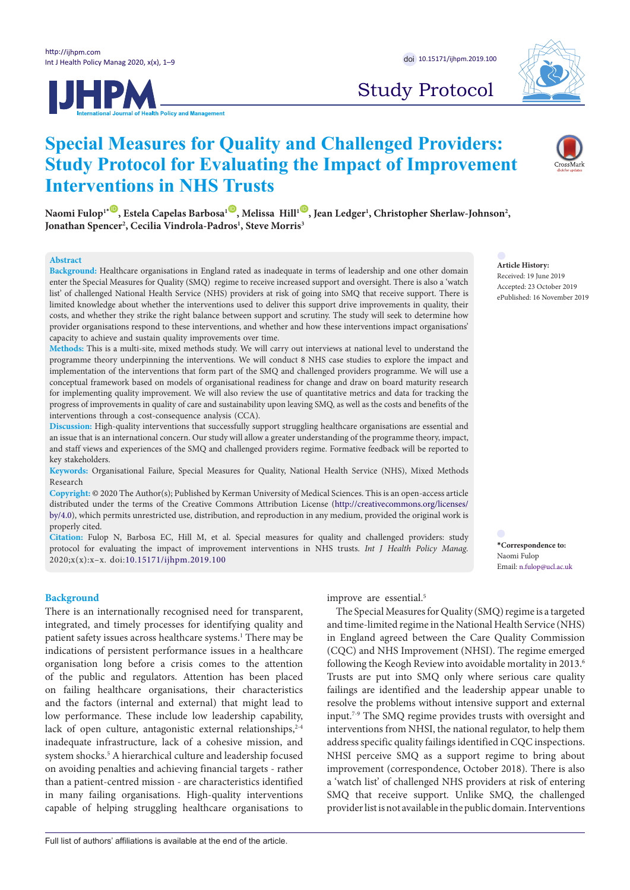

**Interventions in NHS Trusts**



# Study Protocol

 $N$ aomi Fulop<sup>1\*(D)</sup>, Estela Capelas Barbosa<sup>1(D</sup>), Melissa Hill<sup>1(D)</sup>, Jean Ledger<sup>1</sup>, Christopher Sherlaw-Johnson<sup>2</sup>, **Jonathan Spencer2 , Cecilia Vindrola-Padros1 , Steve Morris3**

**Special Measures for Quality and Challenged Providers:** 

**Study Protocol for Evaluating the Impact of Improvement** 

#### **Abstract**

**Background:** Healthcare organisations in England rated as inadequate in terms of leadership and one other domain enter the Special Measures for Quality (SMQ) regime to receive increased support and oversight. There is also a 'watch list' of challenged National Health Service (NHS) providers at risk of going into SMQ that receive support. There is limited knowledge about whether the interventions used to deliver this support drive improvements in quality, their costs, and whether they strike the right balance between support and scrutiny. The study will seek to determine how provider organisations respond to these interventions, and whether and how these interventions impact organisations' capacity to achieve and sustain quality improvements over time.

**Methods:** This is a multi-site, mixed methods study. We will carry out interviews at national level to understand the programme theory underpinning the interventions. We will conduct 8 NHS case studies to explore the impact and implementation of the interventions that form part of the SMQ and challenged providers programme. We will use a conceptual framework based on models of organisational readiness for change and draw on board maturity research for implementing quality improvement. We will also review the use of quantitative metrics and data for tracking the progress of improvements in quality of care and sustainability upon leaving SMQ, as well as the costs and benefits of the interventions through a cost-consequence analysis (CCA).

**Discussion:** High-quality interventions that successfully support struggling healthcare organisations are essential and an issue that is an international concern. Our study will allow a greater understanding of the programme theory, impact, and staff views and experiences of the SMQ and challenged providers regime. Formative feedback will be reported to key stakeholders.

**Keywords:** Organisational Failure, Special Measures for Quality, National Health Service (NHS), Mixed Methods Research

**Copyright:** © 2020 The Author(s); Published by Kerman University of Medical Sciences. This is an open-access article distributed under the terms of the Creative Commons Attribution License [\(http://creativecommons.org/licenses/](http://creativecommons.org/licenses/by/4.0) [by/4.0\)](http://creativecommons.org/licenses/by/4.0), which permits unrestricted use, distribution, and reproduction in any medium, provided the original work is properly cited.

**Citation:** Fulop N, Barbosa EC, Hill M, et al. Special measures for quality and challenged providers: study protocol for evaluating the impact of improvement interventions in NHS trusts. *Int J Health Policy Manag.*  2020;x(x):x–x. doi:10.15171/ijhpm.2019.100

#### **Background**

There is an internationally recognised need for transparent, integrated, and timely processes for identifying quality and patient safety issues across healthcare systems.<sup>1</sup> There may be indications of persistent performance issues in a healthcare organisation long before a crisis comes to the attention of the public and regulators. Attention has been placed on failing healthcare organisations, their characteristics and the factors (internal and external) that might lead to low performance. These include low leadership capability, lack of open culture, antagonistic external relationships, $2-4$ inadequate infrastructure, lack of a cohesive mission, and system shocks.<sup>5</sup> A hierarchical culture and leadership focused on avoiding penalties and achieving financial targets - rather than a patient-centred mission - are characteristics identified in many failing organisations. High-quality interventions capable of helping struggling healthcare organisations to improve are essential.<sup>5</sup>

The Special Measures for Quality (SMQ) regime is a targeted and time-limited regime in the National Health Service (NHS) in England agreed between the Care Quality Commission (CQC) and NHS Improvement (NHSI). The regime emerged following the Keogh Review into avoidable mortality in 2013.<sup>6</sup> Trusts are put into SMQ only where serious care quality failings are identified and the leadership appear unable to resolve the problems without intensive support and external input.7-9 The SMQ regime provides trusts with oversight and interventions from NHSI, the national regulator, to help them address specific quality failings identified in CQC inspections. NHSI perceive SMQ as a support regime to bring about improvement (correspondence, October 2018). There is also a 'watch list' of challenged NHS providers at risk of entering SMQ that receive support. Unlike SMQ, the challenged provider list is not available in the public domain. Interventions

**Article History:** Received: 19 June 2019 Accepted: 23 October 2019 ePublished: 16 November 2019

**\*Correspondence to:** Naomi Fulop Email: n.fulop@ucl.ac.uk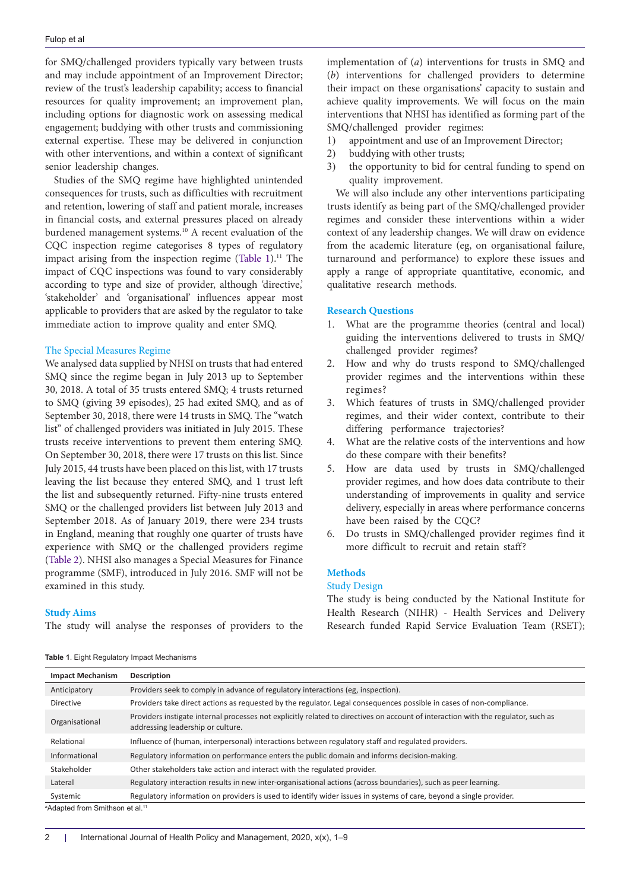for SMQ/challenged providers typically vary between trusts and may include appointment of an Improvement Director; review of the trust's leadership capability; access to financial resources for quality improvement; an improvement plan, including options for diagnostic work on assessing medical engagement; buddying with other trusts and commissioning external expertise. These may be delivered in conjunction with other interventions, and within a context of significant senior leadership changes.

Studies of the SMQ regime have highlighted unintended consequences for trusts, such as difficulties with recruitment and retention, lowering of staff and patient morale, increases in financial costs, and external pressures placed on already burdened management systems.<sup>10</sup> A recent evaluation of the CQC inspection regime categorises 8 types of regulatory impact arising from the inspection regime ([Table 1](#page-1-0)).<sup>11</sup> The impact of CQC inspections was found to vary considerably according to type and size of provider, although 'directive,' 'stakeholder' and 'organisational' influences appear most applicable to providers that are asked by the regulator to take immediate action to improve quality and enter SMQ.

#### The Special Measures Regime

We analysed data supplied by NHSI on trusts that had entered SMQ since the regime began in July 2013 up to September 30, 2018. A total of 35 trusts entered SMQ; 4 trusts returned to SMQ (giving 39 episodes), 25 had exited SMQ, and as of September 30, 2018, there were 14 trusts in SMQ. The "watch list" of challenged providers was initiated in July 2015. These trusts receive interventions to prevent them entering SMQ. On September 30, 2018, there were 17 trusts on this list. Since July 2015, 44 trusts have been placed on this list, with 17 trusts leaving the list because they entered SMQ, and 1 trust left the list and subsequently returned. Fifty-nine trusts entered SMQ or the challenged providers list between July 2013 and September 2018. As of January 2019, there were 234 trusts in England, meaning that roughly one quarter of trusts have experience with SMQ or the challenged providers regime ([Table 2](#page-2-0)). NHSI also manages a Special Measures for Finance programme (SMF), introduced in July 2016. SMF will not be examined in this study.

#### **Study Aims**

The study will analyse the responses of providers to the

implementation of (*a*) interventions for trusts in SMQ and (*b*) interventions for challenged providers to determine their impact on these organisations' capacity to sustain and achieve quality improvements. We will focus on the main interventions that NHSI has identified as forming part of the SMQ/challenged provider regimes:

- 1) appointment and use of an Improvement Director;
- 2) buddying with other trusts;
- 3) the opportunity to bid for central funding to spend on quality improvement.

We will also include any other interventions participating trusts identify as being part of the SMQ/challenged provider regimes and consider these interventions within a wider context of any leadership changes. We will draw on evidence from the academic literature (eg, on organisational failure, turnaround and performance) to explore these issues and apply a range of appropriate quantitative, economic, and qualitative research methods.

#### **Research Questions**

- 1. What are the programme theories (central and local) guiding the interventions delivered to trusts in SMQ/ challenged provider regimes?
- 2. How and why do trusts respond to SMQ/challenged provider regimes and the interventions within these regimes?
- 3. Which features of trusts in SMQ/challenged provider regimes, and their wider context, contribute to their differing performance trajectories?
- 4. What are the relative costs of the interventions and how do these compare with their benefits?
- 5. How are data used by trusts in SMQ/challenged provider regimes, and how does data contribute to their understanding of improvements in quality and service delivery, especially in areas where performance concerns have been raised by the CQC?
- 6. Do trusts in SMQ/challenged provider regimes find it more difficult to recruit and retain staff?

# **Methods**

#### Study Design

The study is being conducted by the National Institute for Health Research (NIHR) - Health Services and Delivery Research funded Rapid Service Evaluation Team (RSET);

<span id="page-1-0"></span>

|  |  |  |  | Table 1. Eight Regulatory Impact Mechanisms |
|--|--|--|--|---------------------------------------------|
|--|--|--|--|---------------------------------------------|

| <b>Impact Mechanism</b>                                | Description                                                                                                                                                            |
|--------------------------------------------------------|------------------------------------------------------------------------------------------------------------------------------------------------------------------------|
| Anticipatory                                           | Providers seek to comply in advance of regulatory interactions (eg, inspection).                                                                                       |
| <b>Directive</b>                                       | Providers take direct actions as requested by the regulator. Legal consequences possible in cases of non-compliance.                                                   |
| Organisational                                         | Providers instigate internal processes not explicitly related to directives on account of interaction with the regulator, such as<br>addressing leadership or culture. |
| Relational                                             | Influence of (human, interpersonal) interactions between regulatory staff and regulated providers.                                                                     |
| Informational                                          | Regulatory information on performance enters the public domain and informs decision-making.                                                                            |
| Stakeholder                                            | Other stakeholders take action and interact with the regulated provider.                                                                                               |
| Lateral                                                | Regulatory interaction results in new inter-organisational actions (across boundaries), such as peer learning.                                                         |
| Systemic                                               | Regulatory information on providers is used to identify wider issues in systems of care, beyond a single provider.                                                     |
| <sup>a</sup> Adanted from Smitheon et al <sup>11</sup> |                                                                                                                                                                        |

Adapted from Smithson et al.11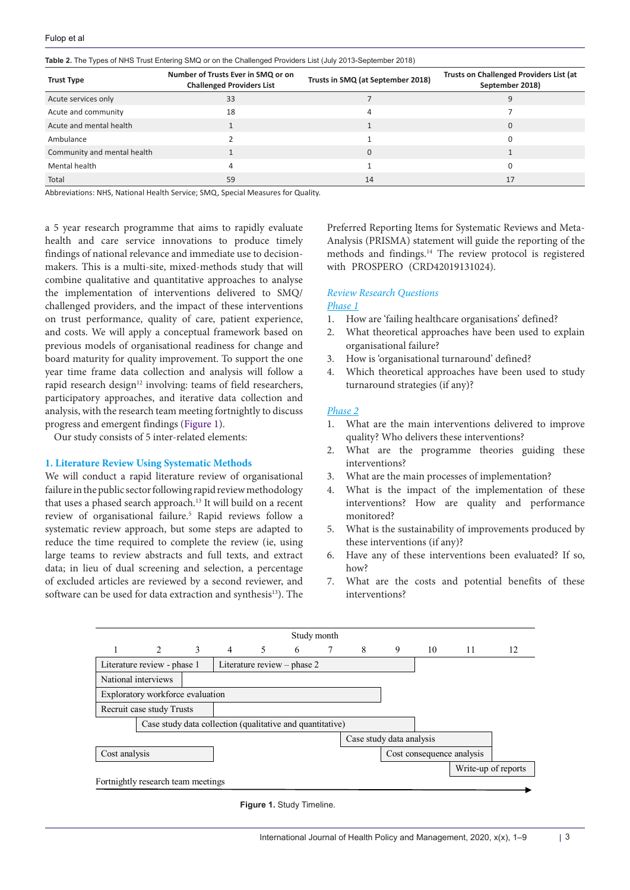<span id="page-2-0"></span>

| Table 2. The Types of NHS Trust Entering SMQ or on the Challenged Providers List (July 2013-September 2018) |  |  |  |  |
|-------------------------------------------------------------------------------------------------------------|--|--|--|--|
|-------------------------------------------------------------------------------------------------------------|--|--|--|--|

| <b>Trust Type</b>           | Number of Trusts Ever in SMQ or on<br><b>Challenged Providers List</b> | Trusts in SMQ (at September 2018) | <b>Trusts on Challenged Providers List (at</b><br>September 2018) |
|-----------------------------|------------------------------------------------------------------------|-----------------------------------|-------------------------------------------------------------------|
| Acute services only         | 33                                                                     |                                   |                                                                   |
| Acute and community         | 18                                                                     | 4                                 |                                                                   |
| Acute and mental health     |                                                                        |                                   |                                                                   |
| Ambulance                   |                                                                        |                                   |                                                                   |
| Community and mental health |                                                                        | $\Omega$                          |                                                                   |
| Mental health               |                                                                        |                                   |                                                                   |
| Total                       | 59                                                                     | 14                                | 17                                                                |

Abbreviations: NHS, National Health Service; SMQ, Special Measures for Quality.

a 5 year research programme that aims to rapidly evaluate health and care service innovations to produce timely findings of national relevance and immediate use to decisionmakers. This is a multi-site, mixed-methods study that will combine qualitative and quantitative approaches to analyse the implementation of interventions delivered to SMQ/ challenged providers, and the impact of these interventions on trust performance, quality of care, patient experience, and costs. We will apply a conceptual framework based on previous models of organisational readiness for change and board maturity for quality improvement. To support the one year time frame data collection and analysis will follow a rapid research design<sup>12</sup> involving: teams of field researchers, participatory approaches, and iterative data collection and analysis, with the research team meeting fortnightly to discuss progress and emergent findings [\(Figure 1\)](#page-2-1).

Our study consists of 5 inter-related elements:

#### **1. Literature Review Using Systematic Methods**

We will conduct a rapid literature review of organisational failure in the public sector following rapid review methodology that uses a phased search approach.13 It will build on a recent review of organisational failure.5 Rapid reviews follow a systematic review approach, but some steps are adapted to reduce the time required to complete the review (ie, using large teams to review abstracts and full texts, and extract data; in lieu of dual screening and selection, a percentage of excluded articles are reviewed by a second reviewer, and software can be used for data extraction and synthesis<sup>13</sup>). The

Preferred Reporting Items for Systematic Reviews and Meta-Analysis (PRISMA) statement will guide the reporting of the methods and findings.14 The review protocol is registered with PROSPERO (CRD42019131024).

### *Review Research Questions*

# *Phase 1*

- 1. How are 'failing healthcare organisations' defined?
- 2. What theoretical approaches have been used to explain organisational failure?
- 3. How is 'organisational turnaround' defined?
- 4. Which theoretical approaches have been used to study turnaround strategies (if any)?

#### *Phase 2*

- 1. What are the main interventions delivered to improve quality? Who delivers these interventions?
- 2. What are the programme theories guiding these interventions?
- 3. What are the main processes of implementation?
- 4. What is the impact of the implementation of these interventions? How are quality and performance monitored?
- 5. What is the sustainability of improvements produced by these interventions (if any)?
- 6. Have any of these interventions been evaluated? If so, how?
- <span id="page-2-1"></span>7. What are the costs and potential benefits of these interventions?



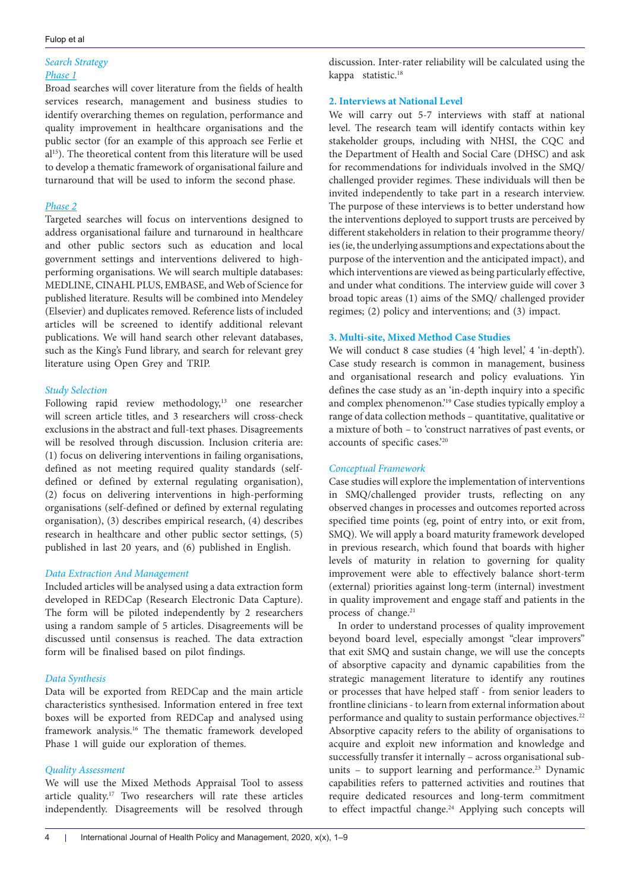# *Search Strategy Phase 1*

Broad searches will cover literature from the fields of health services research, management and business studies to identify overarching themes on regulation, performance and quality improvement in healthcare organisations and the public sector (for an example of this approach see Ferlie et al15). The theoretical content from this literature will be used to develop a thematic framework of organisational failure and turnaround that will be used to inform the second phase.

# *Phase 2*

Targeted searches will focus on interventions designed to address organisational failure and turnaround in healthcare and other public sectors such as education and local government settings and interventions delivered to highperforming organisations. We will search multiple databases: MEDLINE, CINAHL PLUS, EMBASE, and Web of Science for published literature. Results will be combined into Mendeley (Elsevier) and duplicates removed. Reference lists of included articles will be screened to identify additional relevant publications. We will hand search other relevant databases, such as the King's Fund library, and search for relevant grey literature using Open Grey and TRIP.

# *Study Selection*

Following rapid review methodology, <sup>13</sup> one researcher will screen article titles, and 3 researchers will cross-check exclusions in the abstract and full-text phases. Disagreements will be resolved through discussion. Inclusion criteria are: (1) focus on delivering interventions in failing organisations, defined as not meeting required quality standards (selfdefined or defined by external regulating organisation), (2) focus on delivering interventions in high-performing organisations (self-defined or defined by external regulating organisation), (3) describes empirical research, (4) describes research in healthcare and other public sector settings, (5) published in last 20 years, and (6) published in English.

# *Data Extraction And Management*

Included articles will be analysed using a data extraction form developed in REDCap (Research Electronic Data Capture). The form will be piloted independently by 2 researchers using a random sample of 5 articles. Disagreements will be discussed until consensus is reached. The data extraction form will be finalised based on pilot findings.

# *Data Synthesis*

Data will be exported from REDCap and the main article characteristics synthesised. Information entered in free text boxes will be exported from REDCap and analysed using framework analysis. <sup>16</sup> The thematic framework developed Phase 1 will guide our exploration of themes.

# *Quality Assessment*

We will use the Mixed Methods Appraisal Tool to assess article quality. <sup>17</sup> Two researchers will rate these articles independently. Disagreements will be resolved through discussion. Inter-rater reliability will be calculated using the kappa statistic. 18

# **2. Interviews at National Level**

We will carry out 5-7 interviews with staff at national level. The research team will identify contacts within key stakeholder groups, including with NHSI, the CQC and the Department of Health and Social Care (DHSC) and ask for recommendations for individuals involved in the SMQ/ challenged provider regimes. These individuals will then be invited independently to take part in a research interview. The purpose of these interviews is to better understand how the interventions deployed to support trusts are perceived by different stakeholders in relation to their programme theory/ ies (ie, the underlying assumptions and expectations about the purpose of the intervention and the anticipated impact), and which interventions are viewed as being particularly effective, and under what conditions. The interview guide will cover 3 broad topic areas (1) aims of the SMQ/ challenged provider regimes; (2) policy and interventions; and (3) impact.

# **3. Multi-site, Mixed Method Case Studies**

We will conduct 8 case studies (4 'high level,' 4 'in-depth'). Case study research is common in management, business and organisational research and policy evaluations. Yin defines the case study as an 'in-depth inquiry into a specific and complex phenomenon.'19 Case studies typically employ a range of data collection methods – quantitative, qualitative or a mixture of both – to 'construct narratives of past events, or accounts of specific cases.'20

# *Conceptual Framework*

Case studies will explore the implementation of interventions in SMQ/challenged provider trusts, reflecting on any observed changes in processes and outcomes reported across specified time points (eg, point of entry into, or exit from, SMQ). We will apply a board maturity framework developed in previous research, which found that boards with higher levels of maturity in relation to governing for quality improvement were able to effectively balance short-term (external) priorities against long-term (internal) investment in quality improvement and engage staff and patients in the process of change.<sup>21</sup>

In order to understand processes of quality improvement beyond board level, especially amongst "clear improvers" that exit SMQ and sustain change, we will use the concepts of absorptive capacity and dynamic capabilities from the strategic management literature to identify any routines or processes that have helped staff - from senior leaders to frontline clinicians - to learn from external information about performance and quality to sustain performance objectives.<sup>22</sup> Absorptive capacity refers to the ability of organisations to acquire and exploit new information and knowledge and successfully transfer it internally – across organisational subunits – to support learning and performance.<sup>23</sup> Dynamic capabilities refers to patterned activities and routines that require dedicated resources and long-term commitment to effect impactful change.<sup>24</sup> Applying such concepts will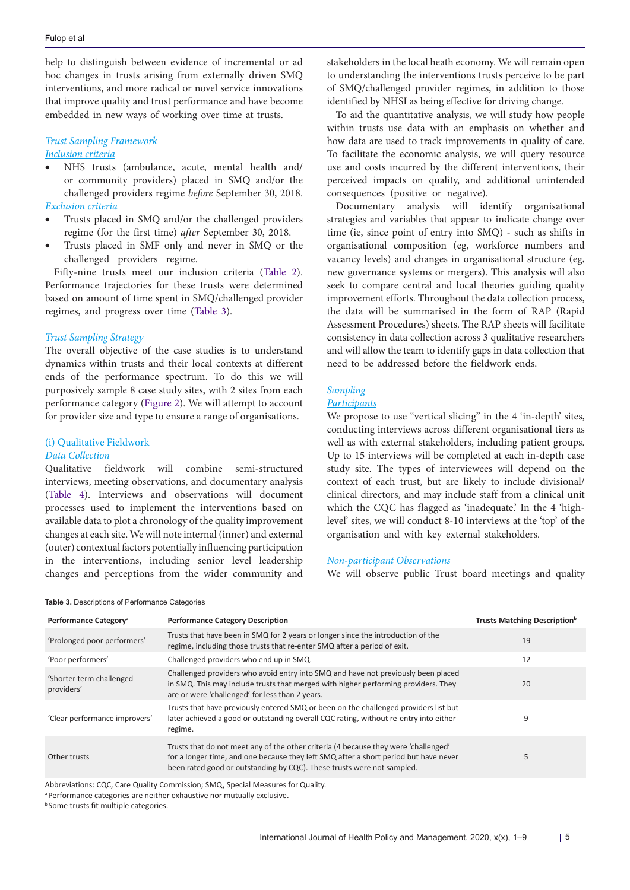help to distinguish between evidence of incremental or ad hoc changes in trusts arising from externally driven SMQ interventions, and more radical or novel service innovations that improve quality and trust performance and have become embedded in new ways of working over time at trusts.

# *Trust Sampling Framework*

# *Inclusion criteria*

- NHS trusts (ambulance, acute, mental health and/ or community providers) placed in SMQ and/or the challenged providers regime *before* September 30, 2018. *Exclusion criteria*
- Trusts placed in SMQ and/or the challenged providers regime (for the first time) *after* September 30, 2018.
- Trusts placed in SMF only and never in SMQ or the challenged providers regime.

Fifty-nine trusts meet our inclusion criteria ([Table 2\)](#page-2-0). Performance trajectories for these trusts were determined based on amount of time spent in SMQ/challenged provider regimes, and progress over time ([Table 3\)](#page-4-0).

### *Trust Sampling Strategy*

The overall objective of the case studies is to understand dynamics within trusts and their local contexts at different ends of the performance spectrum. To do this we will purposively sample 8 case study sites, with 2 sites from each performance category [\(Figure 2\)](#page-5-0). We will attempt to account for provider size and type to ensure a range of organisations.

# (i) Qualitative Fieldwork

# *Data Collection*

Qualitative fieldwork will combine semi-structured interviews, meeting observations, and documentary analysis ([Table 4\)](#page-5-1). Interviews and observations will document processes used to implement the interventions based on available data to plot a chronology of the quality improvement changes at each site. We will note internal (inner) and external (outer) contextual factors potentially influencing participation in the interventions, including senior level leadership changes and perceptions from the wider community and stakeholders in the local heath economy. We will remain open to understanding the interventions trusts perceive to be part of SMQ/challenged provider regimes, in addition to those identified by NHSI as being effective for driving change.

To aid the quantitative analysis, we will study how people within trusts use data with an emphasis on whether and how data are used to track improvements in quality of care. To facilitate the economic analysis, we will query resource use and costs incurred by the different interventions, their perceived impacts on quality, and additional unintended consequences (positive or negative).

Documentary analysis will identify organisational strategies and variables that appear to indicate change over time (ie, since point of entry into SMQ) - such as shifts in organisational composition (eg, workforce numbers and vacancy levels) and changes in organisational structure (eg, new governance systems or mergers). This analysis will also seek to compare central and local theories guiding quality improvement efforts. Throughout the data collection process, the data will be summarised in the form of RAP (Rapid Assessment Procedures) sheets. The RAP sheets will facilitate consistency in data collection across 3 qualitative researchers and will allow the team to identify gaps in data collection that need to be addressed before the fieldwork ends.

# *Sampling*

#### *Participants*

We propose to use "vertical slicing" in the 4 'in-depth' sites, conducting interviews across different organisational tiers as well as with external stakeholders, including patient groups. Up to 15 interviews will be completed at each in-depth case study site. The types of interviewees will depend on the context of each trust, but are likely to include divisional/ clinical directors, and may include staff from a clinical unit which the CQC has flagged as 'inadequate'. In the 4 'highlevel' sites, we will conduct 8-10 interviews at the 'top' of the organisation and with key external stakeholders.

#### *Non-participant Observations*

We will observe public Trust board meetings and quality

| Performance Category <sup>a</sup>      | <b>Performance Category Description</b>                                                                                                                                                                                                               | Trusts Matching Description <sup>b</sup> |
|----------------------------------------|-------------------------------------------------------------------------------------------------------------------------------------------------------------------------------------------------------------------------------------------------------|------------------------------------------|
| 'Prolonged poor performers'            | Trusts that have been in SMQ for 2 years or longer since the introduction of the<br>regime, including those trusts that re-enter SMQ after a period of exit.                                                                                          | 19                                       |
| 'Poor performers'                      | Challenged providers who end up in SMQ.                                                                                                                                                                                                               | 12                                       |
| 'Shorter term challenged<br>providers' | Challenged providers who avoid entry into SMQ and have not previously been placed<br>in SMQ. This may include trusts that merged with higher performing providers. They<br>are or were 'challenged' for less than 2 years.                            | 20                                       |
| 'Clear performance improvers'          | Trusts that have previously entered SMQ or been on the challenged providers list but<br>later achieved a good or outstanding overall CQC rating, without re-entry into either<br>regime.                                                              | 9                                        |
| Other trusts                           | Trusts that do not meet any of the other criteria (4 because they were 'challenged'<br>for a longer time, and one because they left SMQ after a short period but have never<br>been rated good or outstanding by CQC). These trusts were not sampled. | 5                                        |

<span id="page-4-0"></span>**Table 3.** Descriptions of Performance Categories

Abbreviations: CQC, Care Quality Commission; SMQ, Special Measures for Quality.

<sup>&</sup>lt;sup>a</sup> Performance categories are neither exhaustive nor mutually exclusive.

**b** Some trusts fit multiple categories.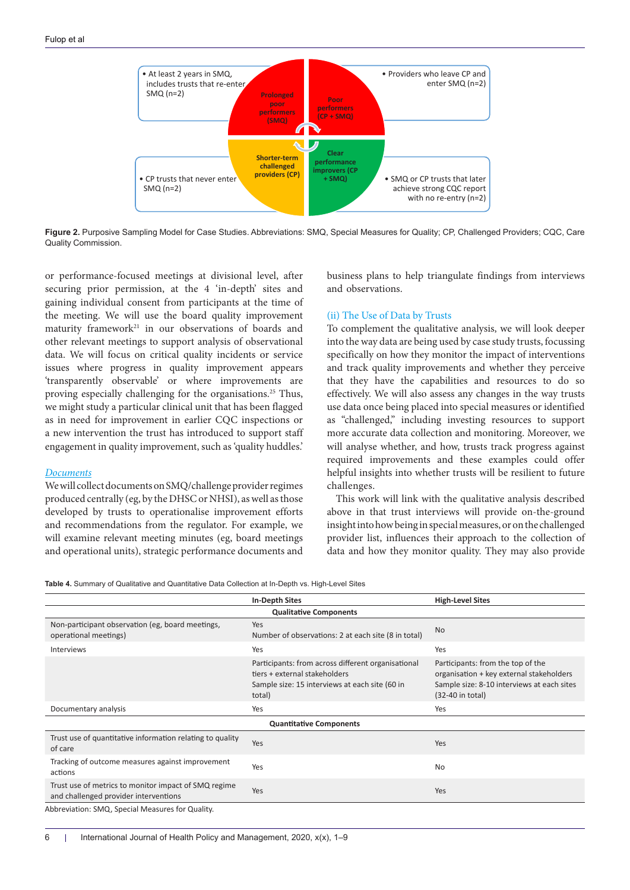<span id="page-5-0"></span>

**Figure 2.** Purposive Sampling Model for Case Studies. Abbreviations: SMQ, Special Measures for Quality; CP, Challenged Providers; CQC, Care Quality Commission.

or performance-focused meetings at divisional level, after securing prior permission, at the 4 'in-depth' sites and gaining individual consent from participants at the time of the meeting. We will use the board quality improvement maturity framework<sup>21</sup> in our observations of boards and other relevant meetings to support analysis of observational data. We will focus on critical quality incidents or service issues where progress in quality improvement appears 'transparently observable' or where improvements are proving especially challenging for the organisations.25 Thus, we might study a particular clinical unit that has been flagged as in need for improvement in earlier CQC inspections or a new intervention the trust has introduced to support staff engagement in quality improvement, such as 'quality huddles.'

#### *Documents*

We will collect documents on SMQ/challenge provider regimes produced centrally (eg, by the DHSC or NHSI), as well as those developed by trusts to operationalise improvement efforts and recommendations from the regulator. For example, we will examine relevant meeting minutes (eg, board meetings and operational units), strategic performance documents and business plans to help triangulate findings from interviews and observations.

#### (ii) The Use of Data by Trusts

To complement the qualitative analysis, we will look deeper into the way data are being used by case study trusts, focussing specifically on how they monitor the impact of interventions and track quality improvements and whether they perceive that they have the capabilities and resources to do so effectively. We will also assess any changes in the way trusts use data once being placed into special measures or identified as "challenged," including investing resources to support more accurate data collection and monitoring. Moreover, we will analyse whether, and how, trusts track progress against required improvements and these examples could offer helpful insights into whether trusts will be resilient to future challenges.

This work will link with the qualitative analysis described above in that trust interviews will provide on-the-ground insight into how being in special measures, or on the challenged provider list, influences their approach to the collection of data and how they monitor quality. They may also provide

<span id="page-5-1"></span>**Table 4.** Summary of Qualitative and Quantitative Data Collection at In-Depth vs. High-Level Sites

|                                                                                               | <b>In-Depth Sites</b>                                                                                                                           | <b>High-Level Sites</b>                                                                                                                           |  |  |
|-----------------------------------------------------------------------------------------------|-------------------------------------------------------------------------------------------------------------------------------------------------|---------------------------------------------------------------------------------------------------------------------------------------------------|--|--|
| <b>Qualitative Components</b>                                                                 |                                                                                                                                                 |                                                                                                                                                   |  |  |
| Non-participant observation (eg, board meetings,<br>operational meetings)                     | Yes<br>Number of observations: 2 at each site (8 in total)                                                                                      | <b>No</b>                                                                                                                                         |  |  |
| <b>Interviews</b>                                                                             | Yes                                                                                                                                             | Yes                                                                                                                                               |  |  |
|                                                                                               | Participants: from across different organisational<br>tiers + external stakeholders<br>Sample size: 15 interviews at each site (60 in<br>total) | Participants: from the top of the<br>organisation + key external stakeholders<br>Sample size: 8-10 interviews at each sites<br>$(32-40$ in total) |  |  |
| Documentary analysis                                                                          | Yes                                                                                                                                             | Yes                                                                                                                                               |  |  |
| <b>Quantitative Components</b>                                                                |                                                                                                                                                 |                                                                                                                                                   |  |  |
| Trust use of quantitative information relating to quality<br>of care                          | Yes                                                                                                                                             | Yes                                                                                                                                               |  |  |
| Tracking of outcome measures against improvement<br>actions                                   | Yes                                                                                                                                             | No                                                                                                                                                |  |  |
| Trust use of metrics to monitor impact of SMQ regime<br>and challenged provider interventions | Yes                                                                                                                                             | Yes                                                                                                                                               |  |  |
| Abbreviation: SMQ, Special Measures for Quality.                                              |                                                                                                                                                 |                                                                                                                                                   |  |  |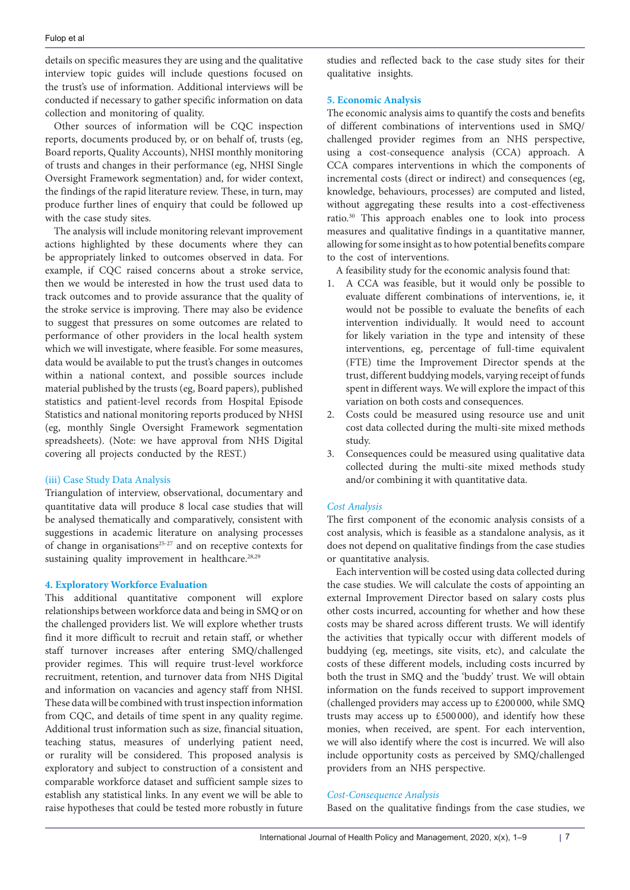details on specific measures they are using and the qualitative interview topic guides will include questions focused on the trust's use of information. Additional interviews will be conducted if necessary to gather specific information on data collection and monitoring of quality.

Other sources of information will be CQC inspection reports, documents produced by, or on behalf of, trusts (eg, Board reports, Quality Accounts), NHSI monthly monitoring of trusts and changes in their performance (eg, NHSI Single Oversight Framework segmentation) and, for wider context, the findings of the rapid literature review. These, in turn, may produce further lines of enquiry that could be followed up with the case study sites.

The analysis will include monitoring relevant improvement actions highlighted by these documents where they can be appropriately linked to outcomes observed in data. For example, if CQC raised concerns about a stroke service, then we would be interested in how the trust used data to track outcomes and to provide assurance that the quality of the stroke service is improving. There may also be evidence to suggest that pressures on some outcomes are related to performance of other providers in the local health system which we will investigate, where feasible. For some measures, data would be available to put the trust's changes in outcomes within a national context, and possible sources include material published by the trusts (eg, Board papers), published statistics and patient-level records from Hospital Episode Statistics and national monitoring reports produced by NHSI (eg, monthly Single Oversight Framework segmentation spreadsheets). (Note: we have approval from NHS Digital covering all projects conducted by the REST.)

# (iii) Case Study Data Analysis

Triangulation of interview, observational, documentary and quantitative data will produce 8 local case studies that will be analysed thematically and comparatively, consistent with suggestions in academic literature on analysing processes of change in organisations25-27 and on receptive contexts for sustaining quality improvement in healthcare.<sup>28,29</sup>

# **4. Exploratory Workforce Evaluation**

This additional quantitative component will explore relationships between workforce data and being in SMQ or on the challenged providers list. We will explore whether trusts find it more difficult to recruit and retain staff, or whether staff turnover increases after entering SMQ/challenged provider regimes. This will require trust-level workforce recruitment, retention, and turnover data from NHS Digital and information on vacancies and agency staff from NHSI. These data will be combined with trust inspection information from CQC, and details of time spent in any quality regime. Additional trust information such as size, financial situation, teaching status, measures of underlying patient need, or rurality will be considered. This proposed analysis is exploratory and subject to construction of a consistent and comparable workforce dataset and sufficient sample sizes to establish any statistical links. In any event we will be able to raise hypotheses that could be tested more robustly in future studies and reflected back to the case study sites for their qualitative insights.

# **5. Economic Analysis**

The economic analysis aims to quantify the costs and benefits of different combinations of interventions used in SMQ/ challenged provider regimes from an NHS perspective, using a cost-consequence analysis (CCA) approach. A CCA compares interventions in which the components of incremental costs (direct or indirect) and consequences (eg, knowledge, behaviours, processes) are computed and listed, without aggregating these results into a cost-effectiveness ratio.30 This approach enables one to look into process measures and qualitative findings in a quantitative manner, allowing for some insight as to how potential benefits compare to the cost of interventions.

A feasibility study for the economic analysis found that:

- 1. A CCA was feasible, but it would only be possible to evaluate different combinations of interventions, ie, it would not be possible to evaluate the benefits of each intervention individually. It would need to account for likely variation in the type and intensity of these interventions, eg, percentage of full-time equivalent (FTE) time the Improvement Director spends at the trust, different buddying models, varying receipt of funds spent in different ways. We will explore the impact of this variation on both costs and consequences.
- 2. Costs could be measured using resource use and unit cost data collected during the multi-site mixed methods study.
- 3. Consequences could be measured using qualitative data collected during the multi-site mixed methods study and/or combining it with quantitative data.

# *Cost Analysis*

The first component of the economic analysis consists of a cost analysis, which is feasible as a standalone analysis, as it does not depend on qualitative findings from the case studies or quantitative analysis.

Each intervention will be costed using data collected during the case studies. We will calculate the costs of appointing an external Improvement Director based on salary costs plus other costs incurred, accounting for whether and how these costs may be shared across different trusts. We will identify the activities that typically occur with different models of buddying (eg, meetings, site visits, etc), and calculate the costs of these different models, including costs incurred by both the trust in SMQ and the 'buddy' trust. We will obtain information on the funds received to support improvement (challenged providers may access up to £200 000, while SMQ trusts may access up to £500 000), and identify how these monies, when received, are spent. For each intervention, we will also identify where the cost is incurred. We will also include opportunity costs as perceived by SMQ/challenged providers from an NHS perspective.

# *Cost-Consequence Analysis*

Based on the qualitative findings from the case studies, we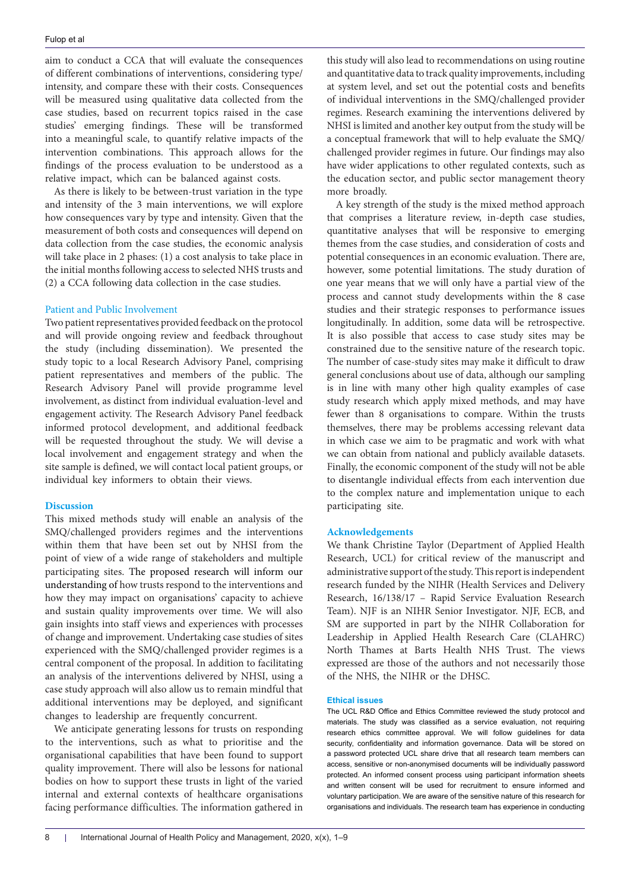aim to conduct a CCA that will evaluate the consequences of different combinations of interventions, considering type/ intensity, and compare these with their costs. Consequences will be measured using qualitative data collected from the case studies, based on recurrent topics raised in the case studies' emerging findings. These will be transformed into a meaningful scale, to quantify relative impacts of the intervention combinations. This approach allows for the findings of the process evaluation to be understood as a relative impact, which can be balanced against costs.

As there is likely to be between-trust variation in the type and intensity of the 3 main interventions, we will explore how consequences vary by type and intensity. Given that the measurement of both costs and consequences will depend on data collection from the case studies, the economic analysis will take place in 2 phases: (1) a cost analysis to take place in the initial months following access to selected NHS trusts and (2) a CCA following data collection in the case studies.

#### Patient and Public Involvement

Two patient representatives provided feedback on the protocol and will provide ongoing review and feedback throughout the study (including dissemination). We presented the study topic to a local Research Advisory Panel, comprising patient representatives and members of the public. The Research Advisory Panel will provide programme level involvement, as distinct from individual evaluation-level and engagement activity. The Research Advisory Panel feedback informed protocol development, and additional feedback will be requested throughout the study. We will devise a local involvement and engagement strategy and when the site sample is defined, we will contact local patient groups, or individual key informers to obtain their views.

#### **Discussion**

This mixed methods study will enable an analysis of the SMQ/challenged providers regimes and the interventions within them that have been set out by NHSI from the point of view of a wide range of stakeholders and multiple participating sites. The proposed research will inform our understanding of how trusts respond to the interventions and how they may impact on organisations' capacity to achieve and sustain quality improvements over time. We will also gain insights into staff views and experiences with processes of change and improvement. Undertaking case studies of sites experienced with the SMQ/challenged provider regimes is a central component of the proposal. In addition to facilitating an analysis of the interventions delivered by NHSI, using a case study approach will also allow us to remain mindful that additional interventions may be deployed, and significant changes to leadership are frequently concurrent.

We anticipate generating lessons for trusts on responding to the interventions, such as what to prioritise and the organisational capabilities that have been found to support quality improvement. There will also be lessons for national bodies on how to support these trusts in light of the varied internal and external contexts of healthcare organisations facing performance difficulties. The information gathered in this study will also lead to recommendations on using routine and quantitative data to track quality improvements, including at system level, and set out the potential costs and benefits of individual interventions in the SMQ/challenged provider regimes. Research examining the interventions delivered by NHSI is limited and another key output from the study will be a conceptual framework that will to help evaluate the SMQ/ challenged provider regimes in future. Our findings may also have wider applications to other regulated contexts, such as the education sector, and public sector management theory more broadly.

A key strength of the study is the mixed method approach that comprises a literature review, in-depth case studies, quantitative analyses that will be responsive to emerging themes from the case studies, and consideration of costs and potential consequences in an economic evaluation. There are, however, some potential limitations. The study duration of one year means that we will only have a partial view of the process and cannot study developments within the 8 case studies and their strategic responses to performance issues longitudinally. In addition, some data will be retrospective. It is also possible that access to case study sites may be constrained due to the sensitive nature of the research topic. The number of case-study sites may make it difficult to draw general conclusions about use of data, although our sampling is in line with many other high quality examples of case study research which apply mixed methods, and may have fewer than 8 organisations to compare. Within the trusts themselves, there may be problems accessing relevant data in which case we aim to be pragmatic and work with what we can obtain from national and publicly available datasets. Finally, the economic component of the study will not be able to disentangle individual effects from each intervention due to the complex nature and implementation unique to each participating site.

#### **Acknowledgements**

We thank Christine Taylor (Department of Applied Health Research, UCL) for critical review of the manuscript and administrative support of the study. This report is independent research funded by the NIHR (Health Services and Delivery Research, 16/138/17 – Rapid Service Evaluation Research Team). NJF is an NIHR Senior Investigator. NJF, ECB, and SM are supported in part by the NIHR Collaboration for Leadership in Applied Health Research Care (CLAHRC) North Thames at Barts Health NHS Trust. The views expressed are those of the authors and not necessarily those of the NHS, the NIHR or the DHSC.

#### **Ethical issues**

The UCL R&D Office and Ethics Committee reviewed the study protocol and materials. The study was classified as a service evaluation, not requiring research ethics committee approval. We will follow guidelines for data security, confidentiality and information governance. Data will be stored on a password protected UCL share drive that all research team members can access, sensitive or non-anonymised documents will be individually password protected. An informed consent process using participant information sheets and written consent will be used for recruitment to ensure informed and voluntary participation. We are aware of the sensitive nature of this research for organisations and individuals. The research team has experience in conducting